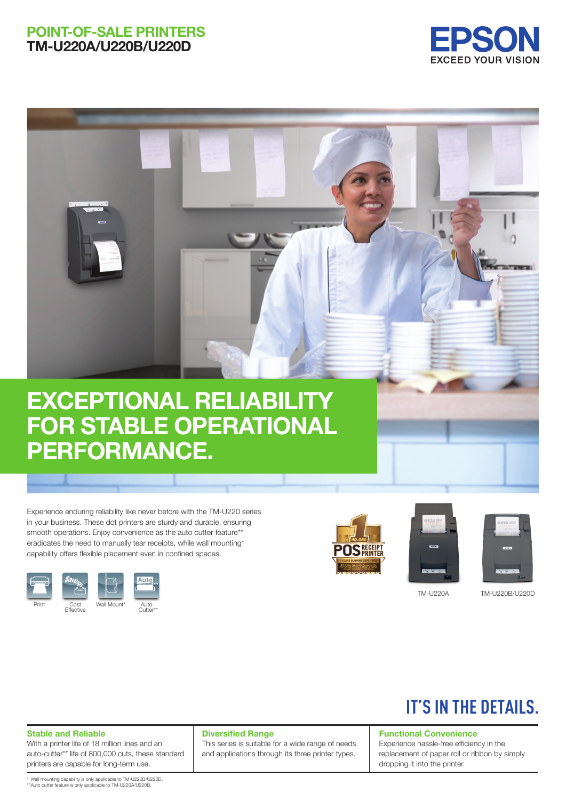### POINT-OF-SALE PRINTERS TM-U220A/U220B/U220D





# EXCEPTIONAL RELIABILITY FOR STABLE OPERATIONAL PERFORMANCE.

Experience enduring reliability like never before with the TM-U220 series in your business. These dot printers are sturdy and durable, ensuring smooth operations. Enjoy convenience as the auto cutter feature\*\* eradicates the need to manually tear receipts, while wall mounting\* capability offers flexible placement even in confined spaces.









TM-U220A TM-U220B/U220D

## **IT'S IN THE DETAILS.**

#### Stable and Reliable

With a printer life of 18 million lines and an auto-cutter\*\* life of 800,000 cuts, these standard printers are capable for long-term use.

#### Diversified Range

This series is suitable for a wide range of needs and applications through its three printer types.

#### Functional Convenience

Experience hassle-free efficiency in the replacement of paper roll or ribbon by simply dropping it into the printer.

\* Wall mounting capability is only applicable to TM-U220B/U220D. \*\*Auto cutter feature is only applicable to TM-U220A/U220B.